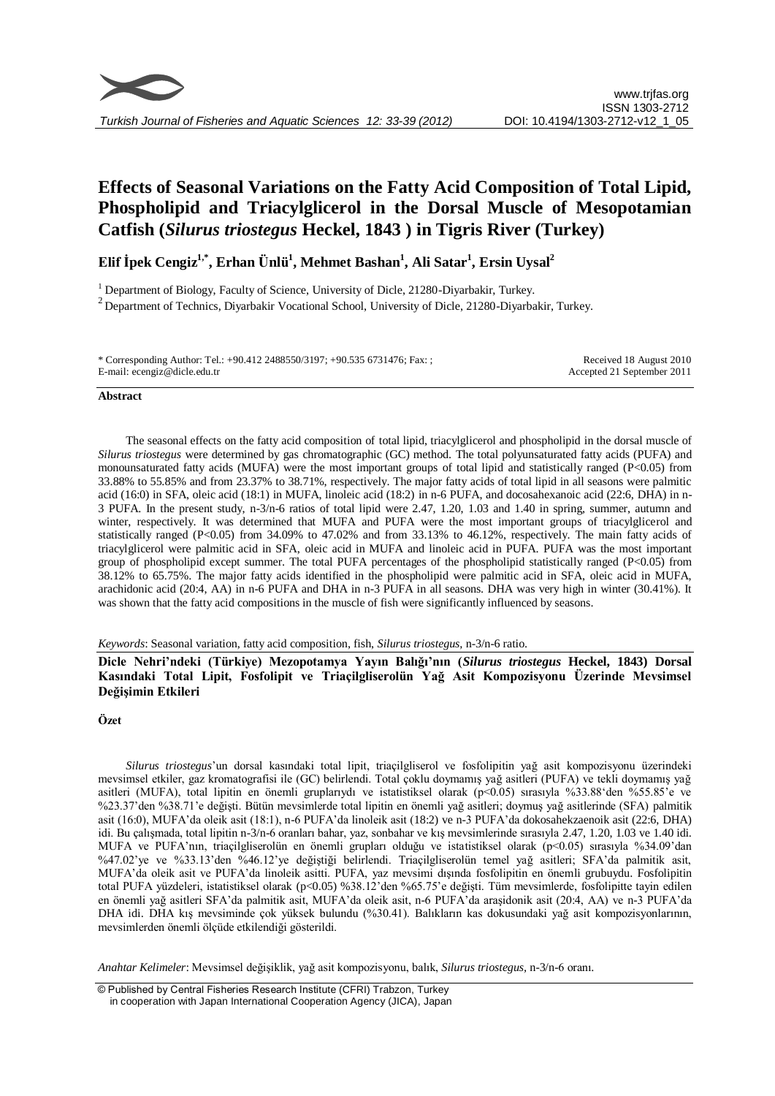

# **Effects of Seasonal Variations on the Fatty Acid Composition of Total Lipid, Phospholipid and Triacylglicerol in the Dorsal Muscle of Mesopotamian Catfish (***Silurus triostegus* **Heckel, 1843 ) in Tigris River (Turkey)**

Elif İpek Cengiz<sup>1,\*</sup>, Erhan Ünlü<sup>1</sup>, Mehmet Bashan<sup>1</sup>, Ali Satar<sup>1</sup>, Ersin Uysal<sup>2</sup>

<sup>1</sup> Department of Biology, Faculty of Science, University of Dicle, 21280-Diyarbakir, Turkey.  $2$  Department of Technics, Diyarbakir Vocational School, University of Dicle, 21280-Diyarbakir, Turkey.

| * Corresponding Author: Tel.: +90.412 2488550/3197; +90.535 6731476; Fax: ; | Received 18 August 2010    |
|-----------------------------------------------------------------------------|----------------------------|
| E-mail: ecengiz@dicle.edu.tr                                                | Accepted 21 September 2011 |

#### **Abstract**

The seasonal effects on the fatty acid composition of total lipid, triacylglicerol and phospholipid in the dorsal muscle of *Silurus triostegus* were determined by gas chromatographic (GC) method. The total polyunsaturated fatty acids (PUFA) and monounsaturated fatty acids (MUFA) were the most important groups of total lipid and statistically ranged (P<0.05) from 33.88% to 55.85% and from 23.37% to 38.71%, respectively. The major fatty acids of total lipid in all seasons were palmitic acid (16:0) in SFA, oleic acid (18:1) in MUFA, linoleic acid (18:2) in n-6 PUFA, and docosahexanoic acid (22:6, DHA) in n-3 PUFA. In the present study, n-3/n-6 ratios of total lipid were 2.47, 1.20, 1.03 and 1.40 in spring, summer, autumn and winter, respectively. It was determined that MUFA and PUFA were the most important groups of triacylglicerol and statistically ranged (P<0.05) from 34.09% to 47.02% and from 33.13% to 46.12%, respectively. The main fatty acids of triacylglicerol were palmitic acid in SFA, oleic acid in MUFA and linoleic acid in PUFA. PUFA was the most important group of phospholipid except summer. The total PUFA percentages of the phospholipid statistically ranged (P<0.05) from 38.12% to 65.75%. The major fatty acids identified in the phospholipid were palmitic acid in SFA, oleic acid in MUFA, arachidonic acid (20:4, AA) in n-6 PUFA and DHA in n-3 PUFA in all seasons. DHA was very high in winter (30.41%). It was shown that the fatty acid compositions in the muscle of fish were significantly influenced by seasons.

*Keywords*: Seasonal variation, fatty acid composition, fish, *Silurus triostegus,* n-3/n-6 ratio.

**Dicle Nehri'ndeki (Türkiye) Mezopotamya Yayın Balığı'nın (***Silurus triostegus* **Heckel, 1843) Dorsal Kasındaki Total Lipit, Fosfolipit ve Triaçilgliserolün Yağ Asit Kompozisyonu Üzerinde Mevsimsel Değişimin Etkileri**

# **Özet**

*Silurus triostegus*'un dorsal kasındaki total lipit, triaçilgliserol ve fosfolipitin yağ asit kompozisyonu üzerindeki mevsimsel etkiler, gaz kromatografisi ile (GC) belirlendi. Total çoklu doymamış yağ asitleri (PUFA) ve tekli doymamış yağ asitleri (MUFA), total lipitin en önemli gruplarıydı ve istatistiksel olarak (p<0.05) sırasıyla %33.88'den %55.85'e ve %23.37'den %38.71'e değişti. Bütün mevsimlerde total lipitin en önemli yağ asitleri; doymuş yağ asitlerinde (SFA) palmitik asit (16:0), MUFA'da oleik asit (18:1), n-6 PUFA'da linoleik asit (18:2) ve n-3 PUFA'da dokosahekzaenoik asit (22:6, DHA) idi. Bu çalışmada, total lipitin n-3/n-6 oranları bahar, yaz, sonbahar ve kış mevsimlerinde sırasıyla 2.47, 1.20, 1.03 ve 1.40 idi. MUFA ve PUFA'nın, triaçilgliserolün en önemli grupları olduğu ve istatistiksel olarak (p<0.05) sırasıyla %34.09'dan %47.02'ye ve %33.13'den %46.12'ye değiştiği belirlendi. Triaçilgliserolün temel yağ asitleri; SFA'da palmitik asit, MUFA'da oleik asit ve PUFA'da linoleik asitti. PUFA, yaz mevsimi dışında fosfolipitin en önemli grubuydu. Fosfolipitin total PUFA yüzdeleri, istatistiksel olarak (p<0.05) %38.12'den %65.75'e değişti. Tüm mevsimlerde, fosfolipitte tayin edilen en önemli yağ asitleri SFA'da palmitik asit, MUFA'da oleik asit, n-6 PUFA'da araşidonik asit (20:4, AA) ve n-3 PUFA'da DHA idi. DHA kış mevsiminde çok yüksek bulundu (%30.41). Balıkların kas dokusundaki yağ asit kompozisyonlarının, mevsimlerden önemli ölçüde etkilendiği gösterildi.

*Anahtar Kelimeler*: Mevsimsel değişiklik, yağ asit kompozisyonu, balık, *Silurus triostegus,* n-3/n-6 oranı.

<sup>©</sup> Published by Central Fisheries Research Institute (CFRI) Trabzon, Turkey in cooperation with Japan International Cooperation Agency (JICA), Japan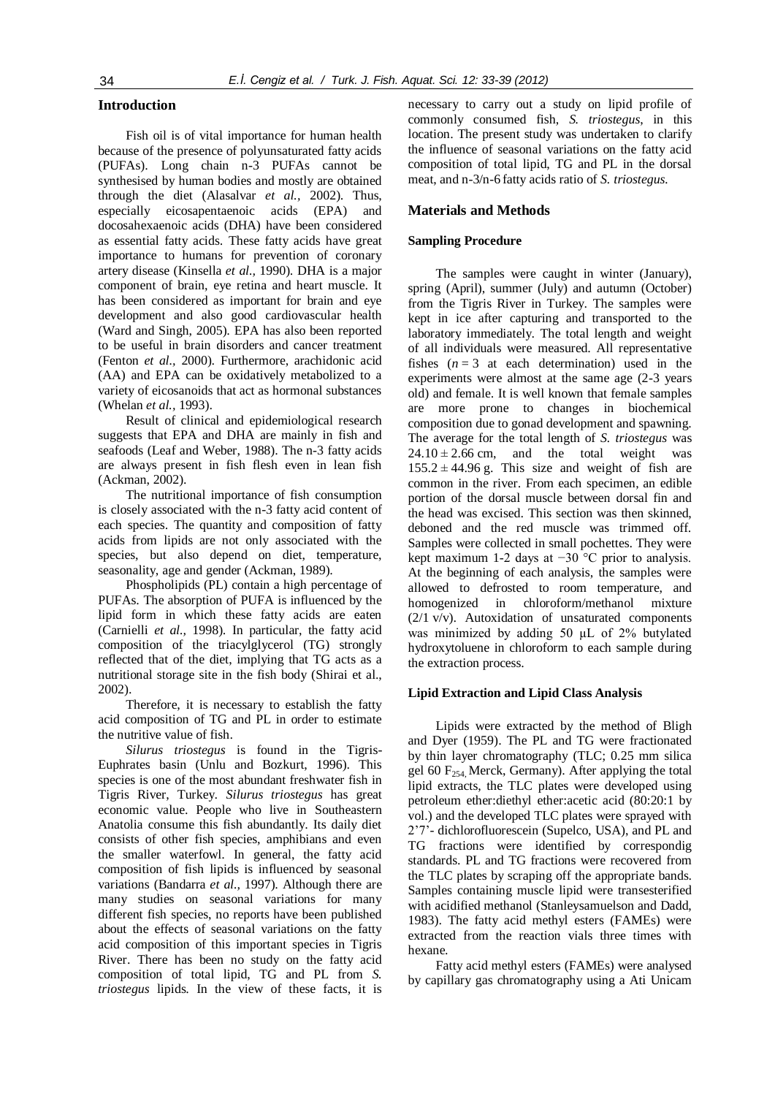# **Introduction**

Fish oil is of vital importance for human health because of the presence of polyunsaturated fatty acids (PUFAs). Long chain n-3 PUFAs cannot be synthesised by human bodies and mostly are obtained through the diet (Alasalvar *et al.,* 2002). Thus, especially eicosapentaenoic acids (EPA) and docosahexaenoic acids (DHA) have been considered as essential fatty acids. These fatty acids have great importance to humans for prevention of coronary artery disease (Kinsella *et al.,* 1990). DHA is a major component of brain, eye retina and heart muscle. It has been considered as important for brain and eye development and also good cardiovascular health (Ward and Singh, 2005). EPA has also been reported to be useful in brain disorders and cancer treatment (Fenton *et al.,* 2000). Furthermore, arachidonic acid (AA) and EPA can be oxidatively metabolized to a variety of eicosanoids that act as hormonal substances (Whelan *et al.,* 1993).

Result of clinical and epidemiological research suggests that EPA and DHA are mainly in fish and seafoods (Leaf and Weber, 1988). The n-3 fatty acids are always present in fish flesh even in lean fish (Ackman, 2002).

The nutritional importance of fish consumption is closely associated with the n-3 fatty acid content of each species. The quantity and composition of fatty acids from lipids are not only associated with the species, but also depend on diet, temperature, seasonality, age and gender (Ackman, 1989).

Phospholipids (PL) contain a high percentage of PUFAs. The absorption of PUFA is influenced by the lipid form in which these fatty acids are eaten (Carnielli *et al.,* 1998). In particular, the fatty acid composition of the triacylglycerol (TG) strongly reflected that of the diet, implying that TG acts as a nutritional storage site in the fish body (Shirai et al., 2002).

Therefore, it is necessary to establish the fatty acid composition of TG and PL in order to estimate the nutritive value of fish.

*Silurus triostegus* is found in the Tigris-Euphrates basin (Unlu and Bozkurt, 1996). This species is one of the most abundant freshwater fish in Tigris River, Turkey. *Silurus triostegus* has great economic value. People who live in [Southeastern](http://en.wikipedia.org/wiki/Southeastern_Anatolia_Project)  [Anatolia](http://en.wikipedia.org/wiki/Southeastern_Anatolia_Project) consume this fish abundantly. Its daily diet consists of other fish species, amphibians and even the smaller waterfowl. In general, the fatty acid composition of fish lipids is influenced by seasonal variations (Bandarra *et al.,* 1997). Although there are many studies on seasonal variations for many different fish species, no reports have been published about the effects of seasonal variations on the fatty acid composition of this important species in Tigris River. There has been no study on the fatty acid composition of total lipid, TG and PL from *S. triostegus* lipids. In the view of these facts, it is necessary to carry out a study on lipid profile of commonly consumed fish, *S. triostegus*, in this location. The present study was undertaken to clarify the influence of seasonal variations on the fatty acid composition of total lipid, TG and PL in the dorsal meat, and n-3/n-6 fatty acids ratio of *S. triostegus.*

## **Materials and Methods**

## **Sampling Procedure**

The samples were caught in winter (January), spring (April), summer (July) and autumn (October) from the Tigris River in Turkey. The samples were kept in ice after capturing and transported to the laboratory immediately. The total length and weight of all individuals were measured. All representative fishes  $(n=3$  at each determination) used in the experiments were almost at the same age (2-3 years old) and female. It is well known that female samples are more prone to changes in biochemical composition due to gonad development and spawning. The average for the total length of *S. triostegus* was  $24.10 \pm 2.66$  cm, and the total weight was  $155.2 \pm 44.96$  g. This size and weight of fish are common in the river. From each specimen, an edible portion of the dorsal muscle between dorsal fin and the head was excised. This section was then skinned, deboned and the red muscle was trimmed off. Samples were collected in small pochettes. They were kept maximum 1-2 days at −30 °C prior to analysis. At the beginning of each analysis, the samples were allowed to defrosted to room temperature, and homogenized in chloroform/methanol mixture (2/1 v/v). Autoxidation of unsaturated components was minimized by adding 50 µL of 2% butylated hydroxytoluene in chloroform to each sample during the extraction process.

#### **Lipid Extraction and Lipid Class Analysis**

Lipids were extracted by the method of [Bligh](http://www.sciencedirect.com/science?_ob=ArticleURL&_udi=B6VNH-45CDMT9-1&_user=1390443&_coverDate=07%2F31%2F2002&_rdoc=1&_fmt=full&_orig=search&_cdi=6179&_sort=d&_docanchor=&view=c&_acct=C000052533&_version=1&_urlVersion=0&_userid=1390443&md5=8147b376fd237c09a9dadaf113bd5487#bib6)  [and Dyer \(1959\).](http://www.sciencedirect.com/science?_ob=ArticleURL&_udi=B6VNH-45CDMT9-1&_user=1390443&_coverDate=07%2F31%2F2002&_rdoc=1&_fmt=full&_orig=search&_cdi=6179&_sort=d&_docanchor=&view=c&_acct=C000052533&_version=1&_urlVersion=0&_userid=1390443&md5=8147b376fd237c09a9dadaf113bd5487#bib6) The PL and TG were fractionated by thin layer chromatography (TLC; 0.25 mm silica gel 60  $F_{254}$  Merck, Germany). After applying the total lipid extracts, the TLC plates were developed using petroleum ether:diethyl ether:acetic acid (80:20:1 by vol.) and the developed TLC plates were sprayed with 2'7'- dichlorofluorescein (Supelco, USA), and PL and TG fractions were identified by correspondig standards. PL and TG fractions were recovered from the TLC plates by scraping off the appropriate bands. Samples containing muscle lipid were transesterified with acidified methanol (Stanleysamuelson and Dadd, 1983). The fatty acid methyl esters (FAMEs) were extracted from the reaction vials three times with hexane.

Fatty acid methyl esters (FAMEs) were analysed by capillary gas chromatography using a Ati Unicam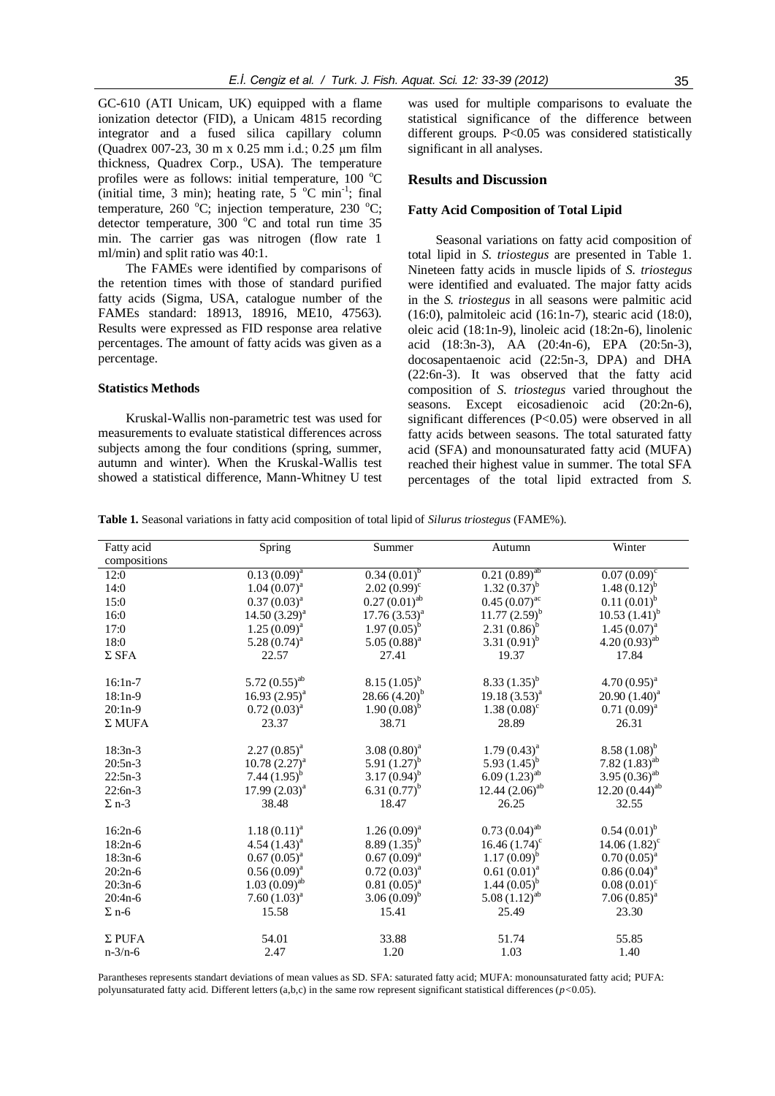GC-610 (ATI Unicam, UK) equipped with a flame ionization detector (FID), a Unicam 4815 recording integrator and a fused silica capillary column (Quadrex 007-23, 30 m x 0.25 mm i.d.; 0.25 µm film thickness, Quadrex Corp., USA). The temperature profiles were as follows: initial temperature,  $100\text{ °C}$ (initial time, 3 min); heating rate,  $\overline{5}$  °C min<sup>-1</sup>; final temperature, 260  $^{\circ}$ C; injection temperature, 230  $^{\circ}$ C; detector temperature,  $300\degree C$  and total run time 35 min. The carrier gas was nitrogen (flow rate 1 ml/min) and split ratio was 40:1.

The FAMEs were identified by comparisons of the retention times with those of standard purified fatty acids (Sigma, USA, catalogue number of the FAMEs standard: 18913, 18916, ME10, 47563). Results were expressed as FID response area relative percentages. The amount of fatty acids was given as a percentage.

# **Statistics Methods**

Kruskal-Wallis non-parametric test was used for measurements to evaluate statistical differences across subjects among the four conditions (spring, summer, autumn and winter). When the Kruskal-Wallis test showed a statistical difference, Mann-Whitney U test was used for multiple comparisons to evaluate the statistical significance of the difference between different groups*.* P<0.05 was considered statistically significant in all analyses.

## **Results and Discussion**

## **Fatty Acid Composition of Total Lipid**

Seasonal variations on fatty acid composition of total lipid in *S. triostegus* are presented in Table 1. Nineteen fatty acids in muscle lipids of *S. triostegus*  were identified and evaluated. The major fatty acids in the *S. triostegus* in all seasons were palmitic acid (16:0), palmitoleic acid (16:1n-7), stearic acid (18:0), oleic acid (18:1n-9), linoleic acid (18:2n-6), linolenic acid (18:3n-3), AA (20:4n-6), EPA (20:5n-3), docosapentaenoic acid (22:5n-3, DPA) and DHA (22:6n-3). It was observed that the fatty acid composition of *S. triostegus* varied throughout the seasons. Except eicosadienoic acid (20:2n-6), significant differences (P<0.05) were observed in all fatty acids between seasons. The total saturated fatty acid (SFA) and monounsaturated fatty acid (MUFA) reached their highest value in summer. The total SFA percentages of the total lipid extracted from *S.* 

**Table 1.** Seasonal variations in fatty acid composition of total lipid of *Silurus triostegus* (FAME%).

| Fatty acid    | Spring             | Summer             | Autumn                        | Winter                      |
|---------------|--------------------|--------------------|-------------------------------|-----------------------------|
| compositions  |                    |                    |                               |                             |
| 12:0          | $0.13 \, (0.09)^a$ | $0.34(0.01)^{b}$   | $0.21 \overline{(0.89)^{ab}}$ | $0.07(0.09)^c$              |
| 14:0          | $1.04(0.07)^{a}$   | $2.02(0.99)^c$     | $1.32(0.37)^{b}$              | $1.48(0.12)^{b}$            |
| 15:0          | $0.37(0.03)^{a}$   | $0.27(0.01)^{ab}$  | $0.45(0.07)^{ac}$             | $0.11(0.01)^{b}$            |
| 16:0          | 14.50 $(3.29)^a$   | $17.76(3.53)^{a}$  | $11.77(2.59)^{b}$             | $10.53 (1.41)^{b}$          |
| 17:0          | $1.25(0.09)^{a}$   | $1.97(0.05)^{b}$   | $2.31(0.86)^{b}$              | $1.45(0.07)^{a}$            |
| 18:0          | $5.28(0.74)^a$     | $5.05(0.88)^a$     | 3.31 $(0.91)^{b}$             | 4.20 $(0.93)$ <sup>ab</sup> |
| $\Sigma$ SFA  | 22.57              | 27.41              | 19.37                         | 17.84                       |
|               |                    |                    |                               |                             |
| $16:1n-7$     | 5.72 $(0.55)^{ab}$ | $8.15(1.05)^{b}$   | 8.33 $(1.35)^{b}$             | 4.70 $(0.95)^{a}$           |
| 18:1n-9       | 16.93 $(2.95)^{a}$ | 28.66 $(4.20)^{b}$ | $19.18(3.53)^{a}$             | $20.90(1.40)^a$             |
| $20:1n-9$     | $0.72(0.03)^{a}$   | $1.90(0.08)^{b}$   | $1.38(0.08)^c$                | $0.71(0.09)^{a}$            |
| $\Sigma$ MUFA | 23.37              | 38.71              | 28.89                         | 26.31                       |
|               |                    |                    |                               |                             |
| $18:3n-3$     | $2.27(0.85)^{a}$   | $3.08(0.80)^a$     | $1.79(0.43)^{a}$              | $8.58(1.08)^{b}$            |
| $20:5n-3$     | $10.78 (2.27)^{a}$ | 5.91 $(1.27)^{b}$  | 5.93 $(1.45)^{b}$             | 7.82 $(1.83)$ <sup>ab</sup> |
| $22:5n-3$     | 7.44 $(1.95)^{b}$  | 3.17 $(0.94)^{b}$  | $6.09(1.23)$ <sup>ab</sup>    | 3.95 $(0.36)$ <sup>ab</sup> |
| $22:6n-3$     | 17.99 $(2.03)^a$   | 6.31 $(0.77)^{b}$  | 12.44 $(2.06)^{ab}$           | 12.20 $(0.44)^{ab}$         |
| $\Sigma$ n-3  | 38.48              | 18.47              | 26.25                         | 32.55                       |
|               |                    |                    |                               |                             |
| $16:2n-6$     | $1.18(0.11)^{a}$   | $1.26(0.09)^{a}$   | $0.73(0.04)^{ab}$             | $0.54(0.01)^{b}$            |
| $18:2n-6$     | $4.54(1.43)^{a}$   | $8.89(1.35)^{b}$   | $16.46(1.74)^c$               | $14.06(1.82)^{\circ}$       |
| $18:3n-6$     | $0.67(0.05)^{a}$   | $0.67(0.09)^{a}$   | $1.17(0.09)^{b}$              | $0.70(0.05)^{a}$            |
| $20:2n-6$     | $0.56(0.09)^{a}$   | $0.72(0.03)^{a}$   | $0.61(0.01)^a$                | $0.86(0.04)^{a}$            |
| $20:3n-6$     | $1.03(0.09)^{ab}$  | $0.81(0.05)^{a}$   | 1.44 $(0.05)^{b}$             | $0.08(0.01)^c$              |
| $20:4n-6$     | $7.60(1.03)^{a}$   | $3.06(0.09)^{b}$   | 5.08 $(1.12)^{ab}$            | $7.06(0.85)^{a}$            |
| $\Sigma$ n-6  | 15.58              | 15.41              | 25.49                         | 23.30                       |
|               |                    |                    |                               |                             |
| $\Sigma$ PUFA | 54.01              | 33.88              | 51.74                         | 55.85                       |
| $n - 3/n - 6$ | 2.47               | 1.20               | 1.03                          | 1.40                        |

Parantheses represents standart deviations of mean values as SD. SFA: saturated fatty acid; MUFA: monounsaturated fatty acid; PUFA: polyunsaturated fatty acid. Different letters (a,b,c) in the same row represent significant statistical differences (*p<*0.05).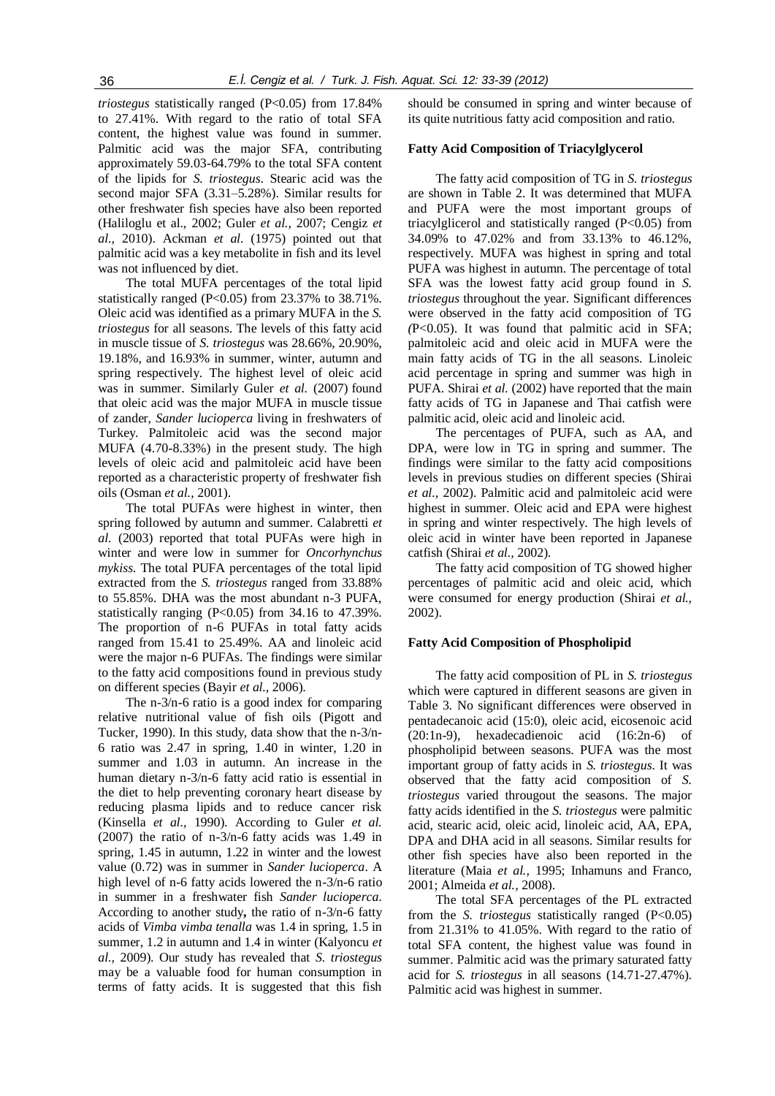*triostegus* statistically ranged (P<0.05) from 17.84% to 27.41%. With regard to the ratio of total SFA content, the highest value was found in summer. Palmitic acid was the major SFA, contributing approximately 59.03-64.79% to the total SFA content of the lipids for *S. triostegus*. Stearic acid was the second major SFA (3.31–5.28%). Similar results for other freshwater fish species have also been reported (Haliloglu et al., 2002; Guler *et al.,* 2007; Cengiz *et al.,* 2010). Ackman *et al.* (1975) pointed out that palmitic acid was a key metabolite in fish and its level was not influenced by diet.

The total MUFA percentages of the total lipid statistically ranged (P<0.05) from 23.37% to 38.71%. Oleic acid was identified as a primary MUFA in the *S. triostegus* for all seasons. The levels of this fatty acid in muscle tissue of *S. triostegus* was 28.66%, 20.90%, 19.18%, and 16.93% in summer, winter, autumn and spring respectively. The highest level of oleic acid was in summer. Similarly [Guler](http://www.sciencedirect.com/science?_ob=ArticleURL&_udi=B6T6R-4VT5TR4-2&_user=1390443&_coverDate=10%2F01%2F2009&_rdoc=1&_fmt=high&_orig=search&_sort=d&_docanchor=&view=c&_acct=C000052533&_version=1&_urlVersion=0&_userid=1390443&md5=7087586b4e8ccd9e5a47efb65bbe3a60#bib12) *et al.* (2007) found that oleic acid was the major MUFA in muscle tissue of zander, *Sander lucioperca* living in freshwaters of Turkey. Palmitoleic acid was the second major MUFA (4.70-8.33%) in the present study. The high levels of oleic acid and palmitoleic acid have been reported as a characteristic property of freshwater fish oils (Osman *et al.,* 2001).

The total PUFAs were highest in winter, then spring followed by autumn and summer. Calabretti *et al.* (2003) reported that total PUFAs were high in winter and were low in summer for *Oncorhynchus mykiss*. The total PUFA percentages of the total lipid extracted from the *S. triostegus* ranged from 33.88% to 55.85%. DHA was the most abundant n-3 PUFA, statistically ranging  $(P<0.05)$  from 34.16 to 47.39%. The proportion of n-6 PUFAs in total fatty acids ranged from 15.41 to 25.49%. AA and linoleic acid were the major n-6 PUFAs. The findings were similar to the fatty acid compositions found in previous study on different species (Bayir *et al.,* 2006).

The n-3/n-6 ratio is a good index for comparing relative nutritional value of fish oils (Pigott and Tucker, 1990). In this study, data show that the n-3/n-6 ratio was 2.47 in spring, 1.40 in winter, 1.20 in summer and  $1.03$  in autumn. An increase in the human dietary n-3/n-6 fatty acid ratio is essential in the diet to help preventing coronary heart disease by reducing plasma lipids and to reduce cancer risk [\(Kinsella](http://www.sciencedirect.com/science?_ob=ArticleURL&_udi=B6T6R-4VT5TR4-2&_user=1390443&_coverDate=10%2F01%2F2009&_rdoc=1&_fmt=high&_orig=search&_sort=d&_docanchor=&view=c&_acct=C000052533&_version=1&_urlVersion=0&_userid=1390443&md5=7087586b4e8ccd9e5a47efb65bbe3a60#bib18) *et al.,* 1990). According to [Guler](http://www.sciencedirect.com/science?_ob=ArticleURL&_udi=B6T6R-4VT5TR4-2&_user=1390443&_coverDate=10%2F01%2F2009&_rdoc=1&_fmt=high&_orig=search&_sort=d&_docanchor=&view=c&_acct=C000052533&_version=1&_urlVersion=0&_userid=1390443&md5=7087586b4e8ccd9e5a47efb65bbe3a60#bib12) *et al.*  $(2007)$  the ratio of n-3/n-6 fatty acids was 1.49 in spring, 1.45 in autumn, 1.22 in winter and the lowest value (0.72) was in summer in *Sander lucioperca*. A high level of n-6 fatty acids lowered the n-3/n-6 ratio in summer in a freshwater fish *Sander lucioperca*. According to another study**,** the ratio of n-3/n-6 fatty acids of *Vimba vimba tenalla* was 1.4 in spring, 1.5 in summer, 1.2 in autumn and 1.4 in winter (Kalyoncu *et al.,* 2009). Our study has revealed that *S. triostegus* may be a valuable food for human consumption in terms of fatty acids. It is suggested that this fish should be consumed in spring and winter because of its quite nutritious fatty acid composition and ratio.

## **Fatty Acid Composition of Triacylglycerol**

The fatty acid composition of TG in *S. triostegus* are shown in [Table 2](http://www.sciencedirect.com/science?_ob=ArticleURL&_udi=B6VNH-45CDMT9-1&_user=1390443&_coverDate=07%2F31%2F2002&_rdoc=1&_fmt=full&_orig=search&_cdi=6179&_sort=d&_docanchor=&view=c&_acct=C000052533&_version=1&_urlVersion=0&_userid=1390443&md5=8147b376fd237c09a9dadaf113bd5487#tbl5). It was determined that MUFA and PUFA were the most important groups of triacylglicerol and statistically ranged (P<0.05) from 34.09% to 47.02% and from 33.13% to 46.12%, respectively. MUFA was highest in spring and total PUFA was highest in autumn. The percentage of total SFA was the lowest fatty acid group found in *S. triostegus* throughout the year. Significant differences were observed in the fatty acid composition of TG *(*P<0.05). It was found that palmitic acid in SFA; palmitoleic acid and oleic acid in MUFA were the main fatty acids of TG in the all seasons. Linoleic acid percentage in spring and summer was high in PUFA. Shirai *et al.* (2002) have reported that the main fatty acids of TG in Japanese and Thai catfish were palmitic acid, oleic acid and linoleic acid.

The percentages of PUFA, such as AA, and DPA, were low in TG in spring and summer. The findings were similar to the fatty acid compositions levels in previous studies on different species (Shirai *et al.,* 2002). Palmitic acid and palmitoleic acid were highest in summer. Oleic acid and EPA were highest in spring and winter respectively. The high levels of oleic acid in winter have been reported in Japanese catfish (Shirai *et al.,* 2002).

The fatty acid composition of TG showed higher percentages of palmitic acid and oleic acid, which were consumed for energy production (Shirai *et al.,* 2002).

#### **Fatty Acid Composition of Phospholipid**

The fatty acid composition of PL in *S. triostegus* which were captured in different seasons are given in Table 3. No significant differences were observed in pentadecanoic acid (15:0), oleic acid, eicosenoic acid (20:1n-9), hexadecadienoic acid (16:2n-6) of phospholipid between seasons. PUFA was the most important group of fatty acids in *S. triostegus*. It was observed that the fatty acid composition of *S. triostegus* varied througout the seasons. The major fatty acids identified in the *S. triostegus* were palmitic acid, stearic acid, oleic acid, linoleic acid, AA, EPA, DPA and DHA acid in all seasons. Similar results for other fish species have also been reported in the literature (Maia *et al.,* 1995; Inhamuns and Franco, 2001; Almeida *et al.,* 2008).

The total SFA percentages of the PL extracted from the *S. triostegus* statistically ranged (P<0.05) from 21.31% to 41.05%. With regard to the ratio of total SFA content, the highest value was found in summer. Palmitic acid was the primary saturated fatty acid for *S. triostegus* in all seasons (14.71-27.47%). Palmitic acid was highest in summer.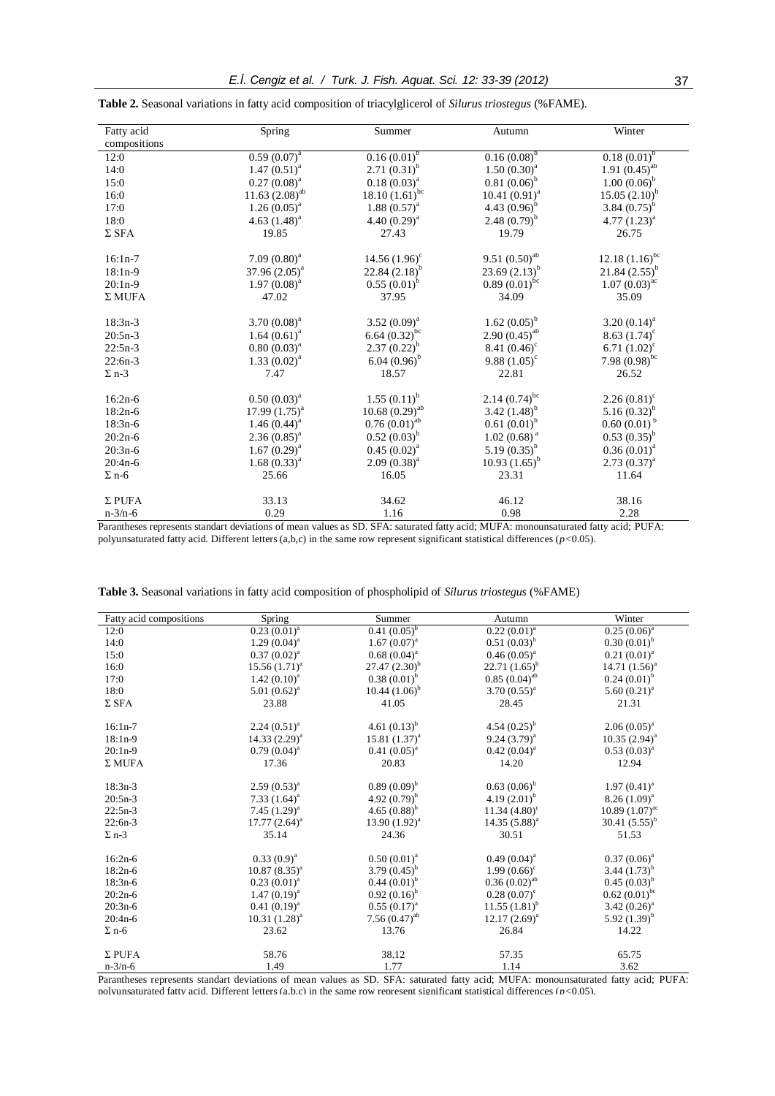| Fatty acid    | Spring                                                                                                                                                                                                                                                                                                     | Summer                      | Autumn                     | Winter                     |
|---------------|------------------------------------------------------------------------------------------------------------------------------------------------------------------------------------------------------------------------------------------------------------------------------------------------------------|-----------------------------|----------------------------|----------------------------|
| compositions  |                                                                                                                                                                                                                                                                                                            |                             |                            |                            |
| 12:0          | $0.59(0.07)^{a}$                                                                                                                                                                                                                                                                                           | $0.16 \, (0.01)^b$          | $0.16 \overline{(0.08)^b}$ | 0.18(0.01)                 |
| 14:0          | $1.47 (0.51)^{a}$                                                                                                                                                                                                                                                                                          | $2.71(0.31)^{b}$            | $1.50(0.30)^a$             | 1.91 $(0.45)^{ab}$         |
| 15:0          | $0.27 (0.08)^{a}$                                                                                                                                                                                                                                                                                          | $0.18(0.03)^{a}$            | $0.81~(0.06)^{b}$          | $1.00(0.06)^{b}$           |
| 16:0          | $11.63(2.08)^{ab}$                                                                                                                                                                                                                                                                                         | 18.10 $(1.61)^{bc}$         | 10.41 $(0.91)^a$           | $15.05(2.10)^{b}$          |
| 17:0          | $1.26(0.05)^{a}$                                                                                                                                                                                                                                                                                           | $1.88~(0.57)^{a}$           | 4.43 $(0.96)^{b}$          | 3.84 $(0.75)^{b}$          |
| 18:0          | 4.63 $(1.48)^a$                                                                                                                                                                                                                                                                                            | 4.40 $(0.29)^a$             | $2.48(0.79)^{b}$           | 4.77 $(1.23)^a$            |
| $\Sigma$ SFA  | 19.85                                                                                                                                                                                                                                                                                                      | 27.43                       | 19.79                      | 26.75                      |
| $16:1n-7$     | 7.09 $(0.80)^a$                                                                                                                                                                                                                                                                                            | $14.56(1.96)^{\circ}$       | $9.51(0.50)^{ab}$          | 12.18 $(1.16)^{bc}$        |
| 18:1n-9       | 37.96 $(2.05)^{a}$                                                                                                                                                                                                                                                                                         | 22.84 $(2.18)^{b}$          | $23.69(2.13)^{b}$          | $21.84 (2.55)^{b}$         |
| $20:1n-9$     | $1.97(0.08)^a$                                                                                                                                                                                                                                                                                             | $0.55(0.01)^{b}$            | $0.89(0.01)^{bc}$          | $1.07 (0.03)^{ac}$         |
| $\Sigma$ MUFA | 47.02                                                                                                                                                                                                                                                                                                      | 37.95                       | 34.09                      | 35.09                      |
| $18:3n-3$     | 3.70 $(0.08)^a$                                                                                                                                                                                                                                                                                            | 3.52 $(0.09)^a$             | 1.62 $(0.05)^{b}$          | 3.20 $(0.14)^a$            |
| $20:5n-3$     | $1.64~(0.61)^a$                                                                                                                                                                                                                                                                                            | 6.64 $(0.32)$ <sup>bc</sup> | 2.90 $(0.45)^{ab}$         | $8.63 (1.74)^c$            |
| $22:5n-3$     | $0.80(0.03)^{a}$                                                                                                                                                                                                                                                                                           | $2.37(0.22)^{b}$            | 8.41 $(0.46)^c$            | 6.71 $(1.02)^c$            |
| $22:6n-3$     | $1.33 (0.02)^a$                                                                                                                                                                                                                                                                                            | $6.04(0.96)^{b}$            | 9.88 $(1.05)^c$            | 7.98 $(0.98)^{bc}$         |
| $\Sigma$ n-3  | 7.47                                                                                                                                                                                                                                                                                                       | 18.57                       | 22.81                      | 26.52                      |
| $16:2n-6$     | $0.50(0.03)^{a}$                                                                                                                                                                                                                                                                                           | $1.55(0.11)^{b}$            | $2.14(0.74)^{bc}$          | 2.26 $(0.81)$ <sup>c</sup> |
| $18:2n-6$     | 17.99 $(1.75)^{a}$                                                                                                                                                                                                                                                                                         | $10.68(0.29)^{ab}$          | 3.42 $(1.48)^{b}$          | 5.16 $(0.32)^{b}$          |
| $18:3n-6$     | $1.46(0.44)^a$                                                                                                                                                                                                                                                                                             | $0.76(0.01)^{ab}$           | $0.61(0.01)^{b}$           | $0.60(0.01)$ <sup>b</sup>  |
| $20:2n-6$     | $2.36(0.85)^{a}$                                                                                                                                                                                                                                                                                           | $0.52(0.03)^{b}$            | $1.02(0.68)^{a}$           | $0.53(0.35)^{b}$           |
| $20:3n-6$     | $1.67 (0.29)^{a}$                                                                                                                                                                                                                                                                                          | $0.45 (0.02)^a$             | 5.19 $(0.35)^{b}$          | $0.36(0.01)^{a}$           |
| $20:4n-6$     | $1.68(0.33)^{a}$                                                                                                                                                                                                                                                                                           | $2.09(0.38)^{a}$            | $10.93(1.65)^{b}$          | $2.73 (0.37)^{a}$          |
| $\Sigma$ n-6  | 25.66                                                                                                                                                                                                                                                                                                      | 16.05                       | 23.31                      | 11.64                      |
| $\Sigma$ PUFA | 33.13                                                                                                                                                                                                                                                                                                      | 34.62                       | 46.12                      | 38.16                      |
| $n - 3/n - 6$ | 0.29<br>$\mathbf{D}$ perception $\mathbf{D}$ and $\mathbf{D}$ and $\mathbf{D}$ and $\mathbf{D}$ and $\mathbf{D}$ and $\mathbf{D}$ and $\mathbf{D}$ and $\mathbf{D}$ and $\mathbf{D}$ and $\mathbf{D}$ and $\mathbf{D}$ and $\mathbf{D}$ and $\mathbf{D}$ and $\mathbf{D}$ and $\mathbf{D}$ and $\mathbf{D$ | 1.16                        | 0.98                       | 2.28                       |

**Table 2.** Seasonal variations in fatty acid composition of triacylglicerol of *Silurus triostegus* (%FAME).

Parantheses represents standart deviations of mean values as SD. SFA: saturated fatty acid; MUFA: monounsaturated fatty acid; PUFA: polyunsaturated fatty acid. Different letters (a,b,c) in the same row represent significant statistical differences (*p<*0.05).

**Table 3.** Seasonal variations in fatty acid composition of phospholipid of *Silurus triostegus* (%FAME)

| Fatty acid compositions | Spring            | Summer                      | Autumn                | Winter             |
|-------------------------|-------------------|-----------------------------|-----------------------|--------------------|
| 12:0                    | $0.23(0.01)^a$    | $0.41~(0.05)^{b}$           | $0.22 (0.01)^a$       | $0.25(0.06)^a$     |
| 14:0                    | $1.29(0.04)^a$    | $1.67(0.07)^{a}$            | $0.51(0.03)^{b}$      | $0.30(0.01)^{b}$   |
| 15:0                    | $0.37(0.02)^{a}$  | $0.68(0.04)^a$              | $0.46(0.05)^{a}$      | $0.21(0.01)^a$     |
| 16:0                    | $15.56(1.71)^{a}$ | $27.47(2.30)^{b}$           | 22.71 $(1.65)^{b}$    | 14.71 $(1.56)^a$   |
| 17:0                    | $1.42 (0.10)^a$   | $0.38(0.01)^{b}$            | $0.85(0.04)^{ab}$     | $0.24(0.01)^{b}$   |
| 18:0                    | $5.01 (0.62)^a$   | $10.44(1.06)^{b}$           | $3.70(0.55)^{a}$      | 5.60 $(0.21)^a$    |
| $\Sigma$ SFA            | 23.88             | 41.05                       | 28.45                 | 21.31              |
| $16:1n-7$               | $2.24(0.51)^a$    | 4.61 $(0.13)^{b}$           | 4.54 $(0.25)^{b}$     | $2.06(0.05)^{a}$   |
| $18:1n-9$               | 14.33 $(2.29)^a$  | $15.81(1.37)^{a}$           | $9.24(3.79)^a$        | $10.35(2.94)^{a}$  |
| $20:1n-9$               | $0.79(0.04)^a$    | $0.41(0.05)^{a}$            | $0.42 (0.04)^a$       | $0.53(0.03)^{a}$   |
| $\Sigma$ MUFA           | 17.36             | 20.83                       | 14.20                 | 12.94              |
| $18:3n-3$               | $2.59(0.53)^{a}$  | $0.89(0.09)^{b}$            | $0.63(0.06)^{b}$      | $1.97(0.41)^a$     |
| $20:5n-3$               | 7.33 $(1.64)^a$   | 4.92 $(0.79)^{b}$           | 4.19 $(2.01)^{b}$     | $8.26(1.09)^a$     |
| $22:5n-3$               | 7.45 $(1.29)^{a}$ | 4.65 $(0.88)^{b}$           | $11.34(4.80)^{\circ}$ | $10.89(1.07)^{ac}$ |
| $22:6n-3$               | $17.77 (2.64)^a$  | $13.90(1.92)^{a}$           | $14.35(5.88)^{a}$     | 30.41 $(5.55)^{b}$ |
| $\Sigma$ n-3            | 35.14             | 24.36                       | 30.51                 | 51.53              |
| $16:2n-6$               | $0.33(0.9)^a$     | $0.50(0.01)^{a}$            | $0.49(0.04)^{a}$      | $0.37(0.06)^a$     |
| $18:2n-6$               | $10.87(8.35)^{a}$ | 3.79 $(0.45)^{b}$           | $1.99(0.66)^{\circ}$  | 3.44 $(1.73)^b$    |
| $18:3n-6$               | $0.23(0.01)^a$    | $0.44(0.01)^{b}$            | $0.36(0.02)^{ab}$     | $0.45(0.03)^{b}$   |
| $20:2n-6$               | $1.47(0.19)^{a}$  | $0.92(0.16)^{b}$            | $0.28(0.07)^c$        | $0.62(0.01)^{bc}$  |
| $20:3n-6$               | $0.41(0.19)^{a}$  | $0.55(0.17)^{a}$            | $11.55(1.81)^{b}$     | 3.42 $(0.26)^a$    |
| $20:4n-6$               | $10.31 (1.28)^a$  | 7.56 $(0.47)$ <sup>ab</sup> | $12.17(2.69)^{a}$     | 5.92 $(1.39)^{b}$  |
| $\Sigma$ n-6            | 23.62             | 13.76                       | 26.84                 | 14.22              |
| $\Sigma$ PUFA           | 58.76             | 38.12                       | 57.35                 | 65.75              |
| $n - 3/n - 6$           | 1.49              | 1.77                        | 1.14                  | 3.62               |

Parantheses represents standart deviations of mean values as SD. SFA: saturated fatty acid; MUFA: monounsaturated fatty acid; PUFA: polyunsaturated fatty acid. Different letters (a,b,c) in the same row represent significant statistical differences (*p<*0.05).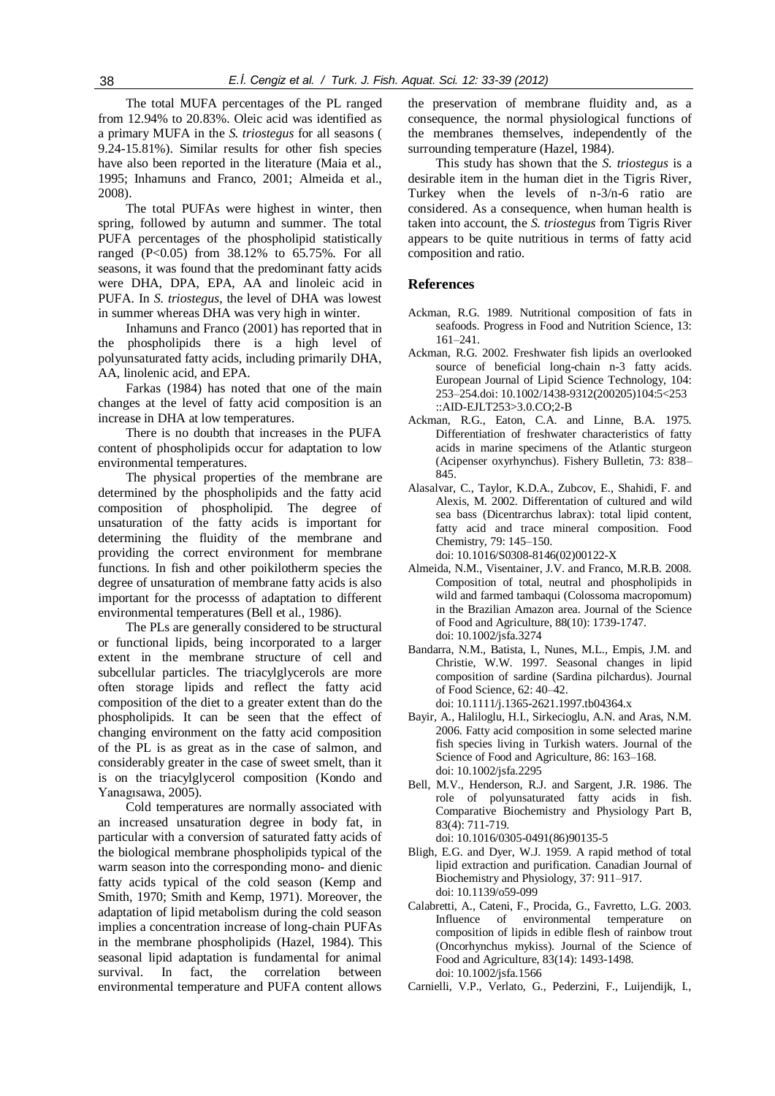The total MUFA percentages of the PL ranged from 12.94% to 20.83%. Oleic acid was identified as a primary MUFA in the *S. triostegus* for all seasons ( 9.24-15.81%). Similar results for other fish species have also been reported in the literature (Maia et al., 1995; Inhamuns and Franco, 2001; Almeida et al., 2008).

The total PUFAs were highest in winter, then spring, followed by autumn and summer. The total PUFA percentages of the phospholipid statistically ranged (P<0.05) from 38.12% to 65.75%. For all seasons, it was found that the predominant fatty acids were DHA, DPA, EPA, AA and linoleic acid in PUFA. In *S. triostegus*, the level of DHA was lowest in summer whereas DHA was very high in winter.

Inhamuns and Franco (2001) has reported that in the phospholipids there is a high level of polyunsaturated fatty acids, including primarily DHA, AA, linolenic acid, and EPA.

Farkas (1984) has noted that one of the main changes at the level of fatty acid composition is an increase in DHA at low temperatures.

There is no doubth that increases in the PUFA content of phospholipids occur for adaptation to low environmental temperatures.

The physical properties of the membrane are determined by the phospholipids and the fatty acid composition of phospholipid. The degree of unsaturation of the fatty acids is important for determining the fluidity of the membrane and providing the correct environment for membrane functions. In fish and other poikilotherm species the degree of unsaturation of membrane fatty acids is also important for the processs of adaptation to different environmental temperatures (Bell et al., 1986).

The PLs are generally considered to be structural or functional lipids, being incorporated to a larger extent in the membrane structure of cell and subcellular particles. The triacylglycerols are more often storage lipids and reflect the fatty acid composition of the diet to a greater extent than do the phospholipids. It can be seen that the effect of changing environment on the fatty acid composition of the PL is as great as in the case of salmon, and considerably greater in the case of sweet smelt, than it is on the triacylglycerol composition (Kondo and Yanagısawa, 2005).

Cold temperatures are normally associated with an increased unsaturation degree in body fat, in particular with a conversion of saturated fatty acids of the biological membrane phospholipids typical of the warm season into the corresponding mono- and dienic fatty acids typical of the cold season (Kemp and Smith, 1970; Smith and Kemp, 1971). Moreover, the adaptation of lipid metabolism during the cold season implies a concentration increase of long-chain PUFAs in the membrane phospholipids (Hazel, 1984). This seasonal lipid adaptation is fundamental for animal survival. In fact, the correlation between environmental temperature and PUFA content allows the preservation of membrane fluidity and, as a consequence, the normal physiological functions of the membranes themselves, independently of the surrounding temperature (Hazel, 1984).

This study has shown that the *S. triostegus* is a desirable item in the human diet in the Tigris River, Turkey when the levels of n-3/n-6 ratio are considered. As a consequence, when human health is taken into account, the *S. triostegus* from Tigris River appears to be quite nutritious in terms of fatty acid composition and ratio.

## **References**

- Ackman, R.G. 1989. Nutritional composition of fats in seafoods. Progress in Food and Nutrition Science, 13: 161–241.
- Ackman, R.G. 2002. Freshwater fish lipids an overlooked source of beneficial long-chain n-3 fatty acids. European Journal of Lipid Science Technology, 104: 253–254.doi: 10.1002/1438-9312(200205)104:5<253 ::AID-EJLT253>3.0.CO;2-B
- Ackman, R.G., Eaton, C.A. and Linne, B.A. 1975. Differentiation of freshwater characteristics of fatty acids in marine specimens of the Atlantic sturgeon (Acipenser oxyrhynchus). Fishery Bulletin, 73: 838– 845.
- Alasalvar, C., Taylor, K.D.A., Zubcov, E., Shahidi, F. and Alexis, M. 2002. Differentation of cultured and wild sea bass (Dicentrarchus labrax): total lipid content, fatty acid and trace mineral composition. Food Chemistry, 79: 145–150. doi: 10.1016/S0308-8146(02)00122-X
- Almeida, N.M., Visentainer, J.V. and Franco, M.R.B. 2008. Composition of total, neutral and phospholipids in wild and farmed tambaqui (Colossoma macropomum) in the Brazilian Amazon area. Journal of the Science of Food and Agriculture, 88(10): 1739-1747. doi: 10.1002/jsfa.3274
- Bandarra, N.M., Batista, I., Nunes, M.L., Empis, J.M. and Christie, W.W. 1997. Seasonal changes in lipid composition of sardine (Sardina pilchardus). Journal of Food Science, 62: 40–42. doi: 10.1111/j.1365-2621.1997.tb04364.x
- Bayir, A., Haliloglu, H.I., Sirkecioglu, A.N. and Aras, N.M. 2006. Fatty acid composition in some selected marine fish species living in Turkish waters. Journal of the Science of Food and Agriculture, 86: 163–168. doi: 10.1002/jsfa.2295
- Bell, M.V., Henderson, R.J. and Sargent, J.R. 1986. The role of polyunsaturated fatty acids in fish. Comparative Biochemistry and Physiology Part B, 83(4): 711-719. doi: 10.1016/0305-0491(86)90135-5
- Bligh, E.G. and Dyer, W.J. 1959. A rapid method of total lipid extraction and purification. Canadian Journal of Biochemistry and Physiology, 37: 911–917. doi: 10.1139/o59-099
- Calabretti, A., Cateni, F., Procida, G., Favretto, L.G. 2003. Influence of environmental temperature on composition of lipids in edible flesh of rainbow trout (Oncorhynchus mykiss). Journal of the Science of Food and Agriculture, 83(14): 1493-1498. doi: 10.1002/jsfa.1566
- Carnielli, V.P., Verlato, G., Pederzini, F., Luijendijk, I.,